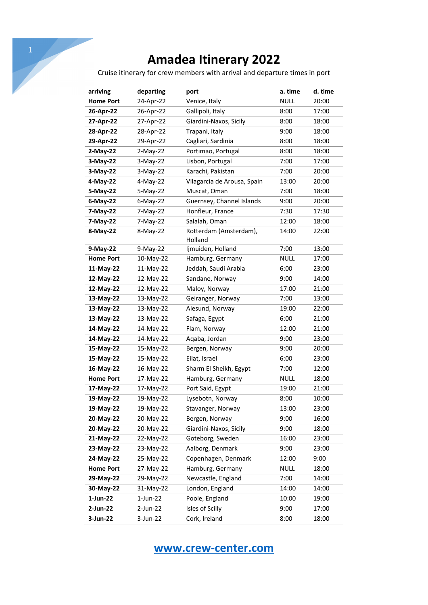Cruise itinerary for crew members with arrival and departure times in port

| arriving         | departing   | port                              | a. time     | d. time |
|------------------|-------------|-----------------------------------|-------------|---------|
| <b>Home Port</b> | 24-Apr-22   | Venice, Italy                     | <b>NULL</b> | 20:00   |
| 26-Apr-22        | 26-Apr-22   | Gallipoli, Italy                  | 8:00        | 17:00   |
| 27-Apr-22        | 27-Apr-22   | Giardini-Naxos, Sicily            | 8:00        | 18:00   |
| 28-Apr-22        | 28-Apr-22   | Trapani, Italy                    | 9:00        | 18:00   |
| 29-Apr-22        | 29-Apr-22   | Cagliari, Sardinia                | 8:00        | 18:00   |
| $2-May-22$       | $2-May-22$  | Portimao, Portugal                | 8:00        | 18:00   |
| 3-May-22         | $3-May-22$  | Lisbon, Portugal                  | 7:00        | 17:00   |
| 3-May-22         | 3-May-22    | Karachi, Pakistan                 | 7:00        | 20:00   |
| 4-May-22         | 4-May-22    | Vilagarcia de Arousa, Spain       | 13:00       | 20:00   |
| 5-May-22         | 5-May-22    | Muscat, Oman                      | 7:00        | 18:00   |
| $6$ -May-22      | $6$ -May-22 | Guernsey, Channel Islands         | 9:00        | 20:00   |
| 7-May-22         | 7-May-22    | Honfleur, France                  | 7:30        | 17:30   |
| 7-May-22         | 7-May-22    | Salalah, Oman                     | 12:00       | 18:00   |
| 8-May-22         | 8-May-22    | Rotterdam (Amsterdam),<br>Holland | 14:00       | 22:00   |
| 9-May-22         | $9-May-22$  | Ijmuiden, Holland                 | 7:00        | 13:00   |
| <b>Home Port</b> | 10-May-22   | Hamburg, Germany                  | <b>NULL</b> | 17:00   |
| 11-May-22        | 11-May-22   | Jeddah, Saudi Arabia              | 6:00        | 23:00   |
| 12-May-22        | 12-May-22   | Sandane, Norway                   | 9:00        | 14:00   |
| 12-May-22        | 12-May-22   | Maloy, Norway                     | 17:00       | 21:00   |
| 13-May-22        | 13-May-22   | Geiranger, Norway                 | 7:00        | 13:00   |
| 13-May-22        | 13-May-22   | Alesund, Norway                   | 19:00       | 22:00   |
| 13-May-22        | 13-May-22   | Safaga, Egypt                     | 6:00        | 21:00   |
| 14-May-22        | 14-May-22   | Flam, Norway                      | 12:00       | 21:00   |
| 14-May-22        | 14-May-22   | Aqaba, Jordan                     | 9:00        | 23:00   |
| 15-May-22        | 15-May-22   | Bergen, Norway                    | 9:00        | 20:00   |
| 15-May-22        | 15-May-22   | Eilat, Israel                     | 6:00        | 23:00   |
| 16-May-22        | 16-May-22   | Sharm El Sheikh, Egypt            | 7:00        | 12:00   |
| <b>Home Port</b> | 17-May-22   | Hamburg, Germany                  | <b>NULL</b> | 18:00   |
| 17-May-22        | 17-May-22   | Port Said, Egypt                  | 19:00       | 21:00   |
| 19-May-22        | 19-May-22   | Lysebotn, Norway                  | 8:00        | 10:00   |
| 19-May-22        | 19-May-22   | Stavanger, Norway                 | 13:00       | 23:00   |
| 20-May-22        | 20-May-22   | Bergen, Norway                    | 9:00        | 16:00   |
| 20-May-22        | 20-May-22   | Giardini-Naxos, Sicily            | 9:00        | 18:00   |
| 21-May-22        | 22-May-22   | Goteborg, Sweden                  | 16:00       | 23:00   |
| 23-May-22        | 23-May-22   | Aalborg, Denmark                  | 9:00        | 23:00   |
| 24-May-22        | 25-May-22   | Copenhagen, Denmark               | 12:00       | 9:00    |
| <b>Home Port</b> | 27-May-22   | Hamburg, Germany                  | <b>NULL</b> | 18:00   |
| 29-May-22        | 29-May-22   | Newcastle, England                | 7:00        | 14:00   |
| 30-May-22        | 31-May-22   | London, England                   | 14:00       | 14:00   |
| 1-Jun-22         | $1$ -Jun-22 | Poole, England                    | 10:00       | 19:00   |
| 2-Jun-22         | 2-Jun-22    | Isles of Scilly                   | 9:00        | 17:00   |
| 3-Jun-22         | 3-Jun-22    | Cork, Ireland                     | 8:00        | 18:00   |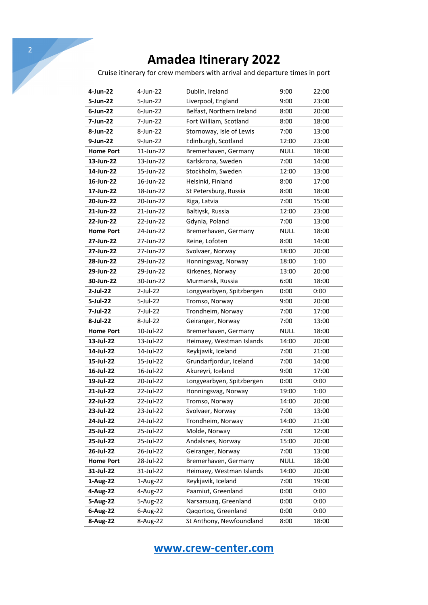| $\overline{2}$ |                  |              |                                                                            |             |       |
|----------------|------------------|--------------|----------------------------------------------------------------------------|-------------|-------|
|                |                  |              | <b>Amadea Itinerary 2022</b>                                               |             |       |
|                |                  |              | Cruise itinerary for crew members with arrival and departure times in port |             |       |
|                | 4-Jun-22         | $4$ -Jun-22  | Dublin, Ireland                                                            | 9:00        | 22:00 |
|                | 5-Jun-22         | 5-Jun-22     | Liverpool, England                                                         | 9:00        | 23:00 |
|                | $6$ -Jun-22      | $6$ -Jun-22  | Belfast, Northern Ireland                                                  | 8:00        | 20:00 |
|                | 7-Jun-22         | 7-Jun-22     | Fort William, Scotland                                                     | 8:00        | 18:00 |
|                | 8-Jun-22         | 8-Jun-22     | Stornoway, Isle of Lewis                                                   | 7:00        | 13:00 |
|                | 9-Jun-22         | 9-Jun-22     | Edinburgh, Scotland                                                        | 12:00       | 23:00 |
|                | <b>Home Port</b> | 11-Jun-22    | Bremerhaven, Germany                                                       | <b>NULL</b> | 18:00 |
|                | 13-Jun-22        | 13-Jun-22    | Karlskrona, Sweden                                                         | 7:00        | 14:00 |
|                | 14-Jun-22        | 15-Jun-22    | Stockholm, Sweden                                                          | 12:00       | 13:00 |
|                | 16-Jun-22        | $16$ -Jun-22 | Helsinki, Finland                                                          | 8:00        | 17:00 |
|                | 17-Jun-22        | 18-Jun-22    | St Petersburg, Russia                                                      | 8:00        | 18:00 |
|                | 20-Jun-22        | 20-Jun-22    |                                                                            |             |       |
|                |                  |              | Riga, Latvia                                                               | 7:00        | 15:00 |
|                | 21-Jun-22        | 21-Jun-22    | Baltiysk, Russia                                                           | 12:00       | 23:00 |
|                | 22-Jun-22        | 22-Jun-22    | Gdynia, Poland                                                             | 7:00        | 13:00 |
|                | <b>Home Port</b> | 24-Jun-22    | Bremerhaven, Germany                                                       | <b>NULL</b> | 18:00 |
|                | 27-Jun-22        | 27-Jun-22    | Reine, Lofoten                                                             | 8:00        | 14:00 |
|                | 27-Jun-22        | 27-Jun-22    | Svolvaer, Norway                                                           | 18:00       | 20:00 |
|                | 28-Jun-22        | 29-Jun-22    | Honningsvag, Norway                                                        | 18:00       | 1:00  |
|                | 29-Jun-22        | 29-Jun-22    | Kirkenes, Norway                                                           | 13:00       | 20:00 |
|                | 30-Jun-22        | 30-Jun-22    | Murmansk, Russia                                                           | 6:00        | 18:00 |
|                | $2$ -Jul-22      | 2-Jul-22     | Longyearbyen, Spitzbergen                                                  | 0:00        | 0:00  |
|                | 5-Jul-22         | 5-Jul-22     | Tromso, Norway                                                             | 9:00        | 20:00 |
|                | 7-Jul-22         | 7-Jul-22     | Trondheim, Norway                                                          | 7:00        | 17:00 |
|                | 8-Jul-22         | 8-Jul-22     | Geiranger, Norway                                                          | 7:00        | 13:00 |
|                | <b>Home Port</b> | 10-Jul-22    | Bremerhaven, Germany                                                       | <b>NULL</b> | 18:00 |
|                | 13-Jul-22        | 13-Jul-22    | Heimaey, Westman Islands                                                   | 14:00       | 20:00 |
|                | 14-Jul-22        | 14-Jul-22    | Reykjavik, Iceland                                                         | 7:00        | 21:00 |
|                | 15-Jul-22        | 15-Jul-22    | Grundarfjordur, Iceland                                                    | 7:00        | 14:00 |
|                | 16-Jul-22        | 16-Jul-22    | Akureyri, Iceland                                                          | 9:00        | 17:00 |
|                | 19-Jul-22        | 20-Jul-22    | Longyearbyen, Spitzbergen                                                  | 0:00        | 0:00  |
|                | 21-Jul-22        | 22-Jul-22    | Honningsvag, Norway                                                        | 19:00       | 1:00  |
|                | 22-Jul-22        | 22-Jul-22    | Tromso, Norway                                                             | 14:00       | 20:00 |
|                | 23-Jul-22        | 23-Jul-22    | Svolvaer, Norway                                                           | 7:00        | 13:00 |
|                | 24-Jul-22        | 24-Jul-22    | Trondheim, Norway                                                          | 14:00       | 21:00 |
|                | 25-Jul-22        | 25-Jul-22    | Molde, Norway                                                              | 7:00        | 12:00 |
|                | 25-Jul-22        | 25-Jul-22    | Andalsnes, Norway                                                          | 15:00       | 20:00 |
|                | 26-Jul-22        | 26-Jul-22    | Geiranger, Norway                                                          | 7:00        | 13:00 |
|                | <b>Home Port</b> | 28-Jul-22    | Bremerhaven, Germany                                                       | <b>NULL</b> | 18:00 |
|                | 31-Jul-22        | 31-Jul-22    | Heimaey, Westman Islands                                                   | 14:00       | 20:00 |
|                | 1-Aug-22         | 1-Aug-22     | Reykjavik, Iceland                                                         | 7:00        | 19:00 |
|                | 4-Aug-22         | 4-Aug-22     | Paamiut, Greenland                                                         | 0:00        | 0:00  |
|                | 5-Aug-22         | 5-Aug-22     | Narsarsuaq, Greenland                                                      | 0:00        | 0:00  |
|                | 6-Aug-22         | 6-Aug-22     | Qaqortoq, Greenland                                                        | 0:00        | 0:00  |
|                | 8-Aug-22         | 8-Aug-22     | St Anthony, Newfoundland                                                   | 8:00        | 18:00 |
|                |                  |              |                                                                            |             |       |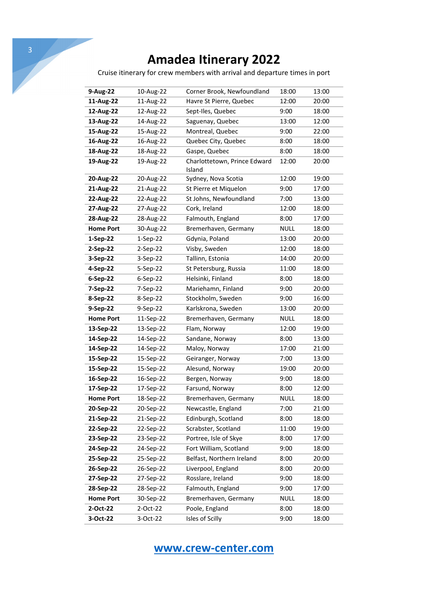Cruise itinerary for crew members with arrival and departure times in port

| 9-Aug-22         | 10-Aug-22  | Corner Brook, Newfoundland<br>18:00    |             | 13:00 |
|------------------|------------|----------------------------------------|-------------|-------|
| 11-Aug-22        | 11-Aug-22  | Havre St Pierre, Quebec                | 12:00       | 20:00 |
| 12-Aug-22        | 12-Aug-22  | Sept-Iles, Quebec                      | 9:00        | 18:00 |
| 13-Aug-22        | 14-Aug-22  | Saguenay, Quebec                       | 13:00       | 12:00 |
| 15-Aug-22        | 15-Aug-22  | Montreal, Quebec                       | 9:00        | 22:00 |
| 16-Aug-22        | 16-Aug-22  | Quebec City, Quebec                    | 8:00        | 18:00 |
| 18-Aug-22        | 18-Aug-22  | Gaspe, Quebec                          | 8:00        | 18:00 |
| 19-Aug-22        | 19-Aug-22  | Charlottetown, Prince Edward<br>Island | 12:00       | 20:00 |
| 20-Aug-22        | 20-Aug-22  | Sydney, Nova Scotia                    | 12:00       | 19:00 |
| 21-Aug-22        | 21-Aug-22  | St Pierre et Miquelon                  | 9:00        | 17:00 |
| 22-Aug-22        | 22-Aug-22  | St Johns, Newfoundland                 | 7:00        | 13:00 |
| 27-Aug-22        | 27-Aug-22  | Cork, Ireland                          | 12:00       | 18:00 |
| 28-Aug-22        | 28-Aug-22  | Falmouth, England                      | 8:00        | 17:00 |
| <b>Home Port</b> | 30-Aug-22  | Bremerhaven, Germany                   | <b>NULL</b> | 18:00 |
| 1-Sep-22         | $1-Sep-22$ | Gdynia, Poland                         | 13:00       | 20:00 |
| 2-Sep-22         | 2-Sep-22   | Visby, Sweden                          | 12:00       | 18:00 |
| 3-Sep-22         | 3-Sep-22   | Tallinn, Estonia                       | 14:00       | 20:00 |
| 4-Sep-22         | 5-Sep-22   | St Petersburg, Russia                  | 11:00       | 18:00 |
| 6-Sep-22         | 6-Sep-22   | Helsinki, Finland                      | 8:00        | 18:00 |
| 7-Sep-22         | 7-Sep-22   | Mariehamn, Finland                     | 9:00        | 20:00 |
| 8-Sep-22         | 8-Sep-22   | Stockholm, Sweden                      | 9:00        | 16:00 |
| 9-Sep-22         | 9-Sep-22   | Karlskrona, Sweden                     | 13:00       | 20:00 |
| <b>Home Port</b> | 11-Sep-22  | Bremerhaven, Germany                   | <b>NULL</b> | 18:00 |
| 13-Sep-22        | 13-Sep-22  | Flam, Norway                           | 12:00       | 19:00 |
| 14-Sep-22        | 14-Sep-22  | Sandane, Norway                        | 8:00        | 13:00 |
| 14-Sep-22        | 14-Sep-22  | Maloy, Norway                          | 17:00       | 21:00 |
| 15-Sep-22        | 15-Sep-22  | Geiranger, Norway                      | 7:00        | 13:00 |
| 15-Sep-22        | 15-Sep-22  | Alesund, Norway                        | 19:00       | 20:00 |
| 16-Sep-22        | 16-Sep-22  | Bergen, Norway                         | 9:00        | 18:00 |
| 17-Sep-22        | 17-Sep-22  | Farsund, Norway                        | 8:00        | 12:00 |
| <b>Home Port</b> | 18-Sep-22  | Bremerhaven, Germany                   | <b>NULL</b> | 18:00 |
| 20-Sep-22        | 20-Sep-22  | Newcastle, England                     | 7:00        | 21:00 |
| 21-Sep-22        | 21-Sep-22  | Edinburgh, Scotland                    | 8:00        | 18:00 |
| 22-Sep-22        | 22-Sep-22  | Scrabster, Scotland                    | 11:00       | 19:00 |
| 23-Sep-22        | 23-Sep-22  | Portree, Isle of Skye                  | 8:00        | 17:00 |
| 24-Sep-22        | 24-Sep-22  | Fort William, Scotland                 | 9:00        | 18:00 |
| 25-Sep-22        | 25-Sep-22  | Belfast, Northern Ireland              | 8:00        | 20:00 |
| 26-Sep-22        | 26-Sep-22  | Liverpool, England                     | 8:00        | 20:00 |
| 27-Sep-22        | 27-Sep-22  | Rosslare, Ireland                      | 9:00        | 18:00 |
| 28-Sep-22        | 28-Sep-22  | Falmouth, England                      | 9:00        | 17:00 |
| <b>Home Port</b> | 30-Sep-22  | Bremerhaven, Germany                   | <b>NULL</b> | 18:00 |
| 2-Oct-22         | 2-Oct-22   | Poole, England                         | 8:00        | 18:00 |
| 3-Oct-22         | 3-Oct-22   | Isles of Scilly                        | 9:00        | 18:00 |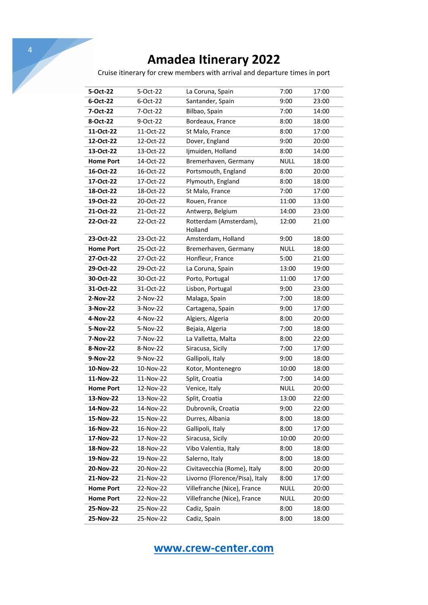|                  |           | <b>Amadea Itinerary 2022</b>                                               |             |       |
|------------------|-----------|----------------------------------------------------------------------------|-------------|-------|
|                  |           | Cruise itinerary for crew members with arrival and departure times in port |             |       |
|                  |           |                                                                            |             |       |
| 5-Oct-22         | 5-Oct-22  | La Coruna, Spain                                                           | 7:00        | 17:00 |
| 6-Oct-22         | 6-Oct-22  | Santander, Spain                                                           | 9:00        | 23:00 |
| 7-Oct-22         | 7-Oct-22  | Bilbao, Spain                                                              | 7:00        | 14:00 |
| 8-Oct-22         | 9-Oct-22  | Bordeaux, France                                                           | 8:00        | 18:00 |
| 11-Oct-22        | 11-Oct-22 | St Malo, France                                                            | 8:00        | 17:00 |
| 12-Oct-22        | 12-Oct-22 | Dover, England                                                             | 9:00        | 20:00 |
| 13-Oct-22        | 13-Oct-22 | Ijmuiden, Holland                                                          | 8:00        | 14:00 |
| <b>Home Port</b> | 14-Oct-22 | Bremerhaven, Germany                                                       | <b>NULL</b> | 18:00 |
| 16-Oct-22        | 16-Oct-22 | Portsmouth, England                                                        | 8:00        | 20:00 |
| 17-Oct-22        | 17-Oct-22 | Plymouth, England                                                          | 8:00        | 18:00 |
| 18-Oct-22        | 18-Oct-22 | St Malo, France                                                            | 7:00        | 17:00 |
| 19-Oct-22        | 20-Oct-22 | Rouen, France                                                              | 11:00       | 13:00 |
| 21-Oct-22        | 21-Oct-22 | Antwerp, Belgium                                                           | 14:00       | 23:00 |
| 22-Oct-22        | 22-Oct-22 | Rotterdam (Amsterdam),<br>Holland                                          | 12:00       | 21:00 |
| 23-Oct-22        | 23-Oct-22 | Amsterdam, Holland                                                         | 9:00        | 18:00 |
| <b>Home Port</b> | 25-Oct-22 | Bremerhaven, Germany                                                       | <b>NULL</b> | 18:00 |
| 27-Oct-22        | 27-Oct-22 | Honfleur, France                                                           | 5:00        | 21:00 |
| 29-Oct-22        | 29-Oct-22 | La Coruna, Spain                                                           | 13:00       | 19:00 |
| 30-Oct-22        | 30-Oct-22 | Porto, Portugal                                                            | 11:00       | 17:00 |
| 31-Oct-22        | 31-Oct-22 | Lisbon, Portugal                                                           | 9:00        | 23:00 |
| 2-Nov-22         | 2-Nov-22  | Malaga, Spain                                                              | 7:00        | 18:00 |
| 3-Nov-22         | 3-Nov-22  | Cartagena, Spain                                                           | 9:00        | 17:00 |
| 4-Nov-22         | 4-Nov-22  | Algiers, Algeria                                                           | 8:00        | 20:00 |
| 5-Nov-22         | 5-Nov-22  | Bejaia, Algeria                                                            | 7:00        | 18:00 |
| 7-Nov-22         | 7-Nov-22  | La Valletta, Malta                                                         | 8:00        | 22:00 |
| 8-Nov-22         | 8-Nov-22  | Siracusa, Sicily                                                           | 7:00        | 17:00 |
| 9-Nov-22         | 9-Nov-22  | Gallipoli, Italy                                                           | 9:00        | 18:00 |
| 10-Nov-22        | 10-Nov-22 | Kotor, Montenegro                                                          | 10:00       | 18:00 |
| 11-Nov-22        | 11-Nov-22 | Split, Croatia                                                             | 7:00        | 14:00 |
| <b>Home Port</b> | 12-Nov-22 | Venice, Italy                                                              | <b>NULL</b> | 20:00 |
| 13-Nov-22        | 13-Nov-22 | Split, Croatia                                                             | 13:00       | 22:00 |
| 14-Nov-22        | 14-Nov-22 | Dubrovnik, Croatia                                                         | 9:00        | 22:00 |
| 15-Nov-22        | 15-Nov-22 | Durres, Albania                                                            | 8:00        | 18:00 |
| 16-Nov-22        | 16-Nov-22 | Gallipoli, Italy                                                           | 8:00        | 17:00 |
| 17-Nov-22        | 17-Nov-22 | Siracusa, Sicily                                                           | 10:00       | 20:00 |
| 18-Nov-22        | 18-Nov-22 | Vibo Valentia, Italy                                                       | 8:00        | 18:00 |
| 19-Nov-22        | 19-Nov-22 | Salerno, Italy                                                             | 8:00        | 18:00 |
|                  |           |                                                                            |             |       |
| 20-Nov-22        | 20-Nov-22 | Civitavecchia (Rome), Italy                                                | 8:00        | 20:00 |
| 21-Nov-22        | 21-Nov-22 | Livorno (Florence/Pisa), Italy                                             | 8:00        | 17:00 |
| <b>Home Port</b> | 22-Nov-22 | Villefranche (Nice), France                                                | <b>NULL</b> | 20:00 |
| <b>Home Port</b> | 22-Nov-22 | Villefranche (Nice), France                                                | <b>NULL</b> | 20:00 |
| 25-Nov-22        | 25-Nov-22 | Cadiz, Spain                                                               | 8:00        | 18:00 |
| 25-Nov-22        | 25-Nov-22 | Cadiz, Spain                                                               | 8:00        | 18:00 |